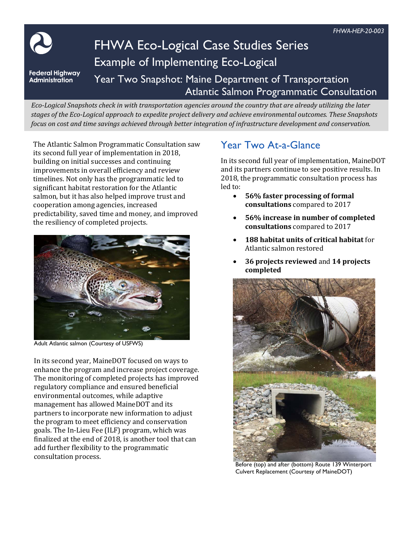

# FHWA Eco-Logical Case Studies Series Example of Implementing Eco-Logical

**Federal Highway Administration** 

## Year Two Snapshot: Maine Department of Transportation Atlantic Salmon Programmatic Consultation

*Eco-Logical Snapshots check in with transportation agencies around the country that are already utilizing the later stages of the Eco-Logical approach to expedite project delivery and achieve environmental outcomes. These Snapshots focus on cost and time savings achieved through better integration of infrastructure development and conservation.* 

The Atlantic Salmon Programmatic Consultation saw its second full year of implementation in 2018, building on initial successes and continuing improvements in overall efficiency and review timelines. Not only has the programmatic led to significant habitat restoration for the Atlantic salmon, but it has also helped improve trust and cooperation among agencies, increased predictability, saved time and money, and improved the resiliency of completed projects.



Adult Atlantic salmon (Courtesy of USFWS)

In its second year, MaineDOT focused on ways to enhance the program and increase project coverage. The monitoring of completed projects has improved regulatory compliance and ensured beneficial environmental outcomes, while adaptive management has allowed MaineDOT and its partners to incorporate new information to adjust the program to meet efficiency and conservation goals. The In-Lieu Fee (ILF) program, which was finalized at the end of 2018, is another tool that can add further flexibility to the programmatic consultation process.

# Year Two At-a-Glance

In its second full year of implementation, MaineDOT and its partners continue to see positive results. In 2018, the programmatic consultation process has led to:

- **56% faster processing of formal consultations** compared to 2017
- **56% increase in number of completed consultations** compared to 2017
- **188 habitat units of critical habitat** for Atlantic salmon restored
- **36 projects reviewed** and **14 projects completed**



Before (top) and after (bottom) Route 139 Winterport Culvert Replacement (Courtesy of MaineDOT)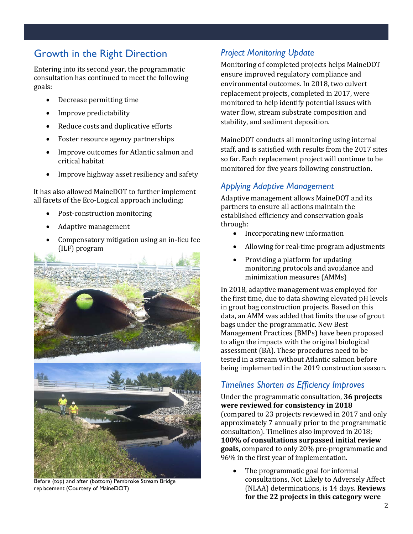# Growth in the Right Direction

Entering into its second year, the programmatic consultation has continued to meet the following goals:

- Decrease permitting time
- Improve predictability
- Reduce costs and duplicative efforts
- Foster resource agency partnerships
- Improve outcomes for Atlantic salmon and critical habitat
- Improve highway asset resiliency and safety

It has also allowed MaineDOT to further implement all facets of the Eco-Logical approach including:

- Post-construction monitoring
- Adaptive management
- Compensatory mitigation using an in-lieu fee (ILF) program



Before (top) and after (bottom) Pembroke Stream Bridge replacement (Courtesy of MaineDOT)

#### *Project Monitoring Update*

Monitoring of completed projects helps MaineDOT ensure improved regulatory compliance and environmental outcomes. In 2018, two culvert replacement projects, completed in 2017, were monitored to help identify potential issues with water flow, stream substrate composition and stability, and sediment deposition.

MaineDOT conducts all monitoring using internal staff, and is satisfied with results from the 2017 sites so far. Each replacement project will continue to be monitored for five years following construction.

## *Applying Adaptive Management*

Adaptive management allows MaineDOT and its partners to ensure all actions maintain the established efficiency and conservation goals through:

- Incorporating new information
- Allowing for real-time program adjustments
- Providing a platform for updating monitoring protocols and avoidance and minimization measures (AMMs)

In 2018, adaptive management was employed for the first time, due to data showing elevated pH levels in grout bag construction projects. Based on this data, an AMM was added that limits the use of grout bags under the programmatic. New Best Management Practices (BMPs) have been proposed to align the impacts with the original biological assessment (BA). These procedures need to be tested in a stream without Atlantic salmon before being implemented in the 2019 construction season.

### *Timelines Shorten as Efficiency Improves*

Under the programmatic consultation, **36 projects were reviewed for consistency in 2018**  (compared to 23 projects reviewed in 2017 and only approximately 7 annually prior to the programmatic consultation). Timelines also improved in 2018; **100% of consultations surpassed initial review goals,** compared to only 20% pre-programmatic and 96% in the first year of implementation.

The programmatic goal for informal consultations, Not Likely to Adversely Affect (NLAA) determinations, is 14 days. **Reviews for the 22 projects in this category were**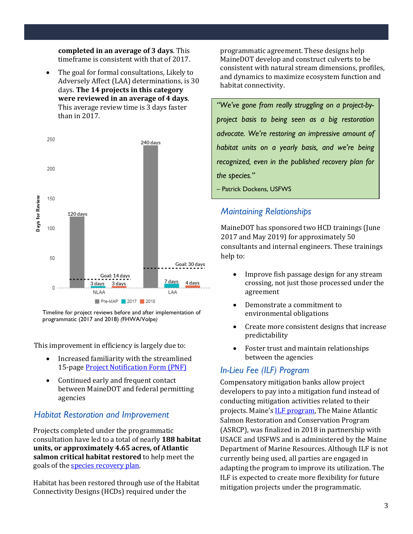**completed in an average of 3 days**. This timeframe is consistent with that of 2017.

• The goal for formal consultations, Likely to Adversely Affect (LAA) determinations, is 30 days. **The 14 projects in this category were reviewed in an average of 4 days**. This average review time is 3 days faster than in 2017.



Timeline for project reviews before and after implementation of programmatic (2017 and 2018) *(*FHWA/Volpe*)*

This improvement in efficiency is largely due to:

- Increased familiarity with the streamlined 15-page [Project Notification Form \(PNF\)](https://www.maine.gov/mdot/env/documents/MAP/Project_Notification_Form_Version_4_9-24-18u2.pdf)
- Continued early and frequent contact between MaineDOT and federal permitting agencies

### *Habitat Restoration and Improvement*

Projects completed under the programmatic consultation have led to a total of nearly **188 habitat units, or approximately 4.65 acres, of Atlantic salmon critical habitat restored** to help meet the goals of th[e species recovery plan.](https://s3.amazonaws.com/nefmc.org/6b_Atlantic-Salmon-FINAL-RECOVERY-PLAN.pdf)

Habitat has been restored through use of the Habitat Connectivity Designs (HCDs) required under the

programmatic agreement. These designs help MaineDOT develop and construct culverts to be consistent with natural stream dimensions, profiles, and dynamics to maximize ecosystem function and habitat connectivity.

*"We've gone from really struggling on a project-byproject basis to being seen as a big restoration advocate. We're restoring an impressive amount of habitat units on a yearly basis, and we're being recognized, even in the published recovery plan for the species."*

– Patrick Dockens, USFWS

## *Maintaining Relationships*

MaineDOT has sponsored two HCD trainings (June 2017 and May 2019) for approximately 50 consultants and internal engineers. These trainings help to:

- Improve fish passage design for any stream crossing, not just those processed under the agreement
- Demonstrate a commitment to environmental obligations
- Create more consistent designs that increase predictability
- Foster trust and maintain relationships between the agencies

## *In-Lieu Fee (ILF) Program*

Compensatory mitigation banks allow project developers to pay into a mitigation fund instead of conducting mitigation activities related to their projects. Maine's [ILF program,](https://www.maine.gov/dmr/science-research/searun/programs/ilffacts.html) The Maine Atlantic Salmon Restoration and Conservation Program (ASRCP), was finalized in 2018 in partnership with USACE and USFWS and is administered by the Maine Department of Marine Resources. Although ILF is not currently being used, all parties are engaged in adapting the program to improve its utilization. The ILF is expected to create more flexibility for future mitigation projects under the programmatic.